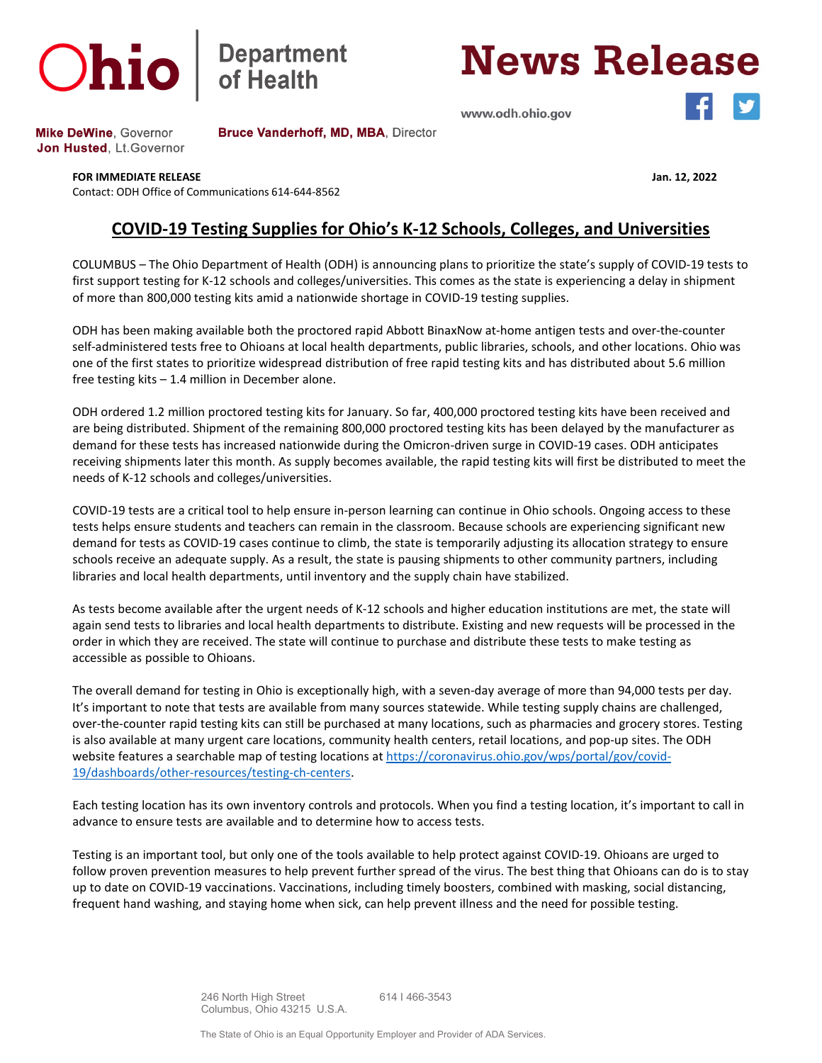

## **Department**<br>of Health

**News Release** 

www.odh.ohio.gov



**Mike DeWine, Governor** Jon Husted, Lt. Governor Bruce Vanderhoff, MD, MBA, Director

## **FOR IMMEDIATE RELEASE Jan. 12, 2022**

Contact: ODH Office of Communications 614-644-8562

## **COVID-19 Testing Supplies for Ohio's K-12 Schools, Colleges, and Universities**

COLUMBUS – The Ohio Department of Health (ODH) is announcing plans to prioritize the state's supply of COVID-19 tests to first support testing for K-12 schools and colleges/universities. This comes as the state is experiencing a delay in shipment of more than 800,000 testing kits amid a nationwide shortage in COVID-19 testing supplies.

ODH has been making available both the proctored rapid Abbott BinaxNow at-home antigen tests and over-the-counter self-administered tests free to Ohioans at local health departments, public libraries, schools, and other locations. Ohio was one of the first states to prioritize widespread distribution of free rapid testing kits and has distributed about 5.6 million free testing kits – 1.4 million in December alone.

ODH ordered 1.2 million proctored testing kits for January. So far, 400,000 proctored testing kits have been received and are being distributed. Shipment of the remaining 800,000 proctored testing kits has been delayed by the manufacturer as demand for these tests has increased nationwide during the Omicron-driven surge in COVID-19 cases. ODH anticipates receiving shipments later this month. As supply becomes available, the rapid testing kits will first be distributed to meet the needs of K-12 schools and colleges/universities.

COVID-19 tests are a critical tool to help ensure in-person learning can continue in Ohio schools. Ongoing access to these tests helps ensure students and teachers can remain in the classroom. Because schools are experiencing significant new demand for tests as COVID-19 cases continue to climb, the state is temporarily adjusting its allocation strategy to ensure schools receive an adequate supply. As a result, the state is pausing shipments to other community partners, including libraries and local health departments, until inventory and the supply chain have stabilized.

As tests become available after the urgent needs of K-12 schools and higher education institutions are met, the state will again send tests to libraries and local health departments to distribute. Existing and new requests will be processed in the order in which they are received. The state will continue to purchase and distribute these tests to make testing as accessible as possible to Ohioans.

The overall demand for testing in Ohio is exceptionally high, with a seven-day average of more than 94,000 tests per day. It's important to note that tests are available from many sources statewide. While testing supply chains are challenged, over-the-counter rapid testing kits can still be purchased at many locations, such as pharmacies and grocery stores. Testing is also available at many urgent care locations, community health centers, retail locations, and pop-up sites. The ODH website features a searchable map of testing locations at [https://coronavirus.ohio.gov/wps/portal/gov/covid-](https://coronavirus.ohio.gov/wps/portal/gov/covid-19/dashboards/other-resources/testing-ch-centers)[19/dashboards/other-resources/testing-ch-centers.](https://coronavirus.ohio.gov/wps/portal/gov/covid-19/dashboards/other-resources/testing-ch-centers)

Each testing location has its own inventory controls and protocols. When you find a testing location, it's important to call in advance to ensure tests are available and to determine how to access tests.

Testing is an important tool, but only one of the tools available to help protect against COVID-19. Ohioans are urged to follow proven prevention measures to help prevent further spread of the virus. The best thing that Ohioans can do is to stay up to date on COVID-19 vaccinations. Vaccinations, including timely boosters, combined with masking, social distancing, frequent hand washing, and staying home when sick, can help prevent illness and the need for possible testing.

> 246 North High Street 614 I 466-3543 Columbus, Ohio 43215 U.S.A.